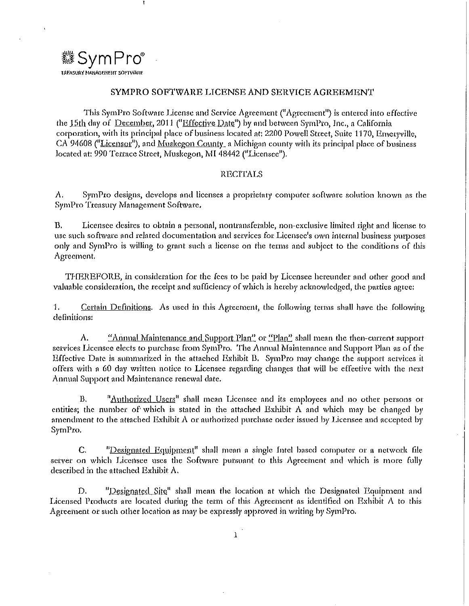

#### SYMPRO SOFTWARE LICENSE AND SERVICE AGREEMENT

1'hb SymPro Software License nnd Service Agreement ("Agreement") is entered into effective the 15th day of December, 2011 ("Effective Date") by and between SymPro, Inc., a California corporation, with its principal place of business located at: 2200 Powell Street, Suite 1170, Emeryville, CA 94608 ("Licensor"), and Muskegon County, a Michigan county with its principal place of business located at: 990 Terrace Street, Muskegon, MI 48442 ("Licensee").

#### **RECITALS**

A. SymPro designs, develops and licenses a proprietary computer software solution known as the SymPro Trensmy Management Softwnre,

B. Licensee desires to obtain a personal, nontransferable, non-exclusive limited right and license to use such software and related documentation and services for Licensee's own internal business purposes only and SymPro is willing to grant such n license on the terms and subject to the conditions of this Agreement.

THEREFORE, in consideration for the fees to be paid by Licensee hereunder and other good and valuable consideration, the receipt and sufficiency of which is hereby acknowledged, the parties agree:

1. Certain Definitions. As used in this Agreement, the following terms shall have the following definitions:

A. "<u>Annual Maintenance and Support Plan"</u> or "Plan" shall mean the then-current support services Licensee elects to purchase from SymPro. The Annual Maintenance and Support Plan as of the Effective Date is summarized in the attached Exhibit B. SymPro may change the support services it offers with o 60 day written notice to Ucensec regarding changes that will be effective with the next Annual Support and Maintenance tenewal dote,

B.  $\mu$ <sup>1</sup> authorized Users<sup>11</sup> shall mean Licensee and its employees and no other persons or entities; the number of which is stated in the attached Exhibit A and which may be changed by amendment to the attached Exhibit  $\Lambda$  or authorized purchase order issued by Licensee and accepted by SymPro.

C. "Designated Equipment" shall mean a single Intel based computer or a network file server on which Licensee uses the Software pursuant to this Agreement and which is more fully described in the attached Exhibit A.

D. "Designated Site" shall mean the location at which the Designated Equipment and Licensed Products are located during the term of this Agreement as identified on Exhibit A to this Agreement or such other location as may be expressly approved in writing by SymPro.

1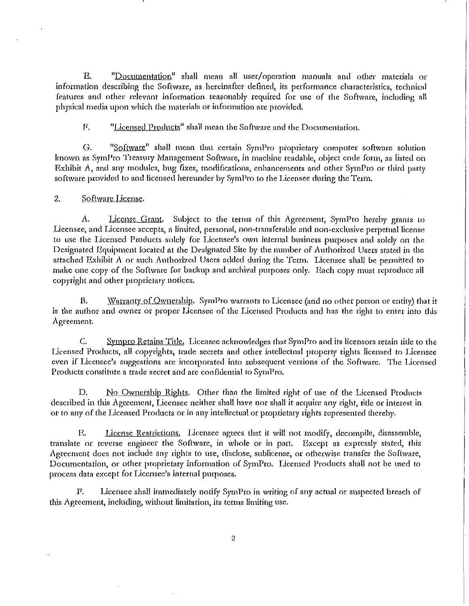$\mathbf{R}$ . "Documentation" shall mean all user/operation manuals and other materials or information describing the Software, as hereinafter defined, its performance characteristics, technical features and other relevant information reasonably required for use of the Software, including all physical media upon which the materials or information are provided.

"Licensed Products" shall mean the Software and the Documentation. F.

G. "Software" shall mean that certain SymPro proprietary computer software solution known as SymPro Treasury Management Software, in machine readable, object code form, as listed on Exhibit A, and any modules, bug fixes, modifications, enhancements and other SymPro or third party software provided to and licensed hereunder by SymPro to the Licensee during the Term.

#### $\overline{2}$ . Software License.

A. License Grant. Subject to the terms of this Agreement, SymPro hereby grants to Lieensee, and Licensee accepts, a limited, personal, non-transferable and non-exclusive perpetual license to use the Licensed Products solely for Licensee's own internal business purposes and solely on the Designated Equipment located at the Designated Site by the number of Authorized Users stated in the attached Exhibit A or such Authorized Users added during the Term. Licensee shall be permitted to make one copy of the Software for backup and archival purposes only. Each copy must reproduce all copyright and other proprietary notices.

Warranty of Ownership. SymPro warrants to Licensee (and no other person or entity) that it **B.** is the author and owner or proper Licensee of the Licensed Products and has the right to enter into this Agreement.

 $C_{1}$ Sympro Retains Title. Licensee acknowledges that SymPro and its licensors retain title to the Licensed Products, all copyrights, trade secrets and other intellectual property rights licensed to Licensee even if Licensee's suggestions are incorporated into subsequent versions of the Software. The Licensed Products constitute a trade secret and are confidential to SymPro,

No Ownership Rights. Other than the limited right of use of the Licensed Products D. described in this Agreement, Licensee neither shall have nor shall it acquire any right, title or interest in or to any of the Licensed Products or in any intellectual or proprietary rights represented thereby.

License Restrictions. Licensee agrees that it will not modify, decompile, disassemble,  $R_{\rm a}$ translate or reverse engineer the Software, in whole or in part. Except as expressly stated, this Agreement does not include any rights to use, disclose, sublicense, or otherwise transfer the Software, Documentation, or other proprietary information of SymPro. Licensed Products shall not be used to process data except for Licensee's internal purposes.

 $\Gamma$ . Licensee shall immediately notify SymPro in writing of any actual or suspected breach of this Agreement, including, without limitation, its terms limiting use.

 $\overline{c}$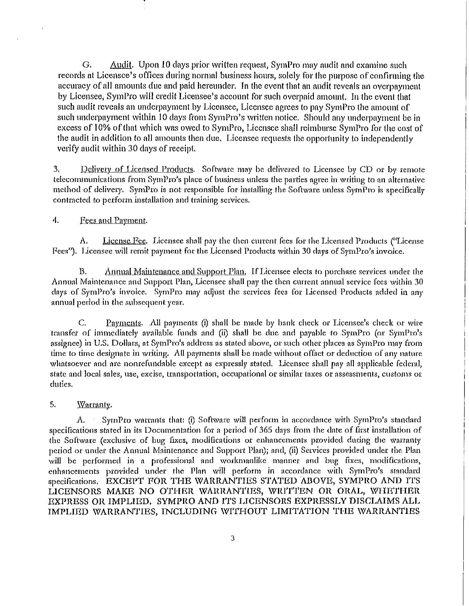G. Audit. Upon 10 days prior written request, SymPro may audit and examine such records at Licensce's offices during normal business hours, solely for the purpose of confirming the accuracy of all amounts due and paid hereunder. In the event that an audit reveals an overpayment by Licensee, SymPro will credit Licensee's account for such overpaid amount. In the event that such audit reveals an underpayment by Licensee, Licensee agrees to pay SymPro the amount of such underpayment within 10 days from SymPro's written notice. Should any underpayment be in excess of 10% of that which was owed to SymPro, Licensee shall reimburse SymPro for the cost of the audit in addition to all amounts then due. Licensee requests the opportunity to independently verify audit within 30 days of receipt.

3. Delivery of Licensed Products. Software may be delivered to Licensee by CD or by remote telecommunications from SymPro's place of business unless the parties agree in writing to an alternative method of dclivcty. SymPro is not responsible for installing the Software unless SymPro is specifically contracted to perform installation and training services.

## 4. Fees and Payment.

A. License Fee. Licensee shall pay the then current fees for the Licensed Products ("License Fees"). Licensee will remit payment for the Licensed Products within 30 days of SymPro's invoice.

B. Annual Maintenance and Support Plan. If Licensee elects to purchase services under the Annual Maintenance and Support Plan, Licensee shall pay the then current annual service fees within 30 days of SymPro's invoice. SymPro may adjust the services fees for Licensed Products added in any annual period in the subsequent year.

C. Payments. All payments (i) shall be made by bank check or Licensee's check or wire transfer of immediately avnilablc funds and (ii) shall be due and payable to Syn1Pro (or SymPro's assignee) in U.S. Dollars, at SymPro's address as stated above, or such other places as SymPro may from time to time designate in writing. All payments shall be made without offset or deduction of any nature whatsoever and are nonrefundable except as expressly stated. Licensee shall pay all applicable federal, state and local sales, use, excise, transportation, occupational or similar taxes or assessments, customs ot duties.

# 5. Warranty.

A. Syml'ro warrants that: (i) Software will perform in accordance with SymPro's standard specifications stated in its Documentation for a period of 365 days from the date of first installation of the Software (exclusive of bug fixes, modifications or enhancements provided ducing the wnrrnnty period or under the Annual Maintenance and Support Plan); nnd, (ii) Setvices provided under the Plan will be performed in a professional and workmanlike manner and bug fixes, modifications, enhancements pmvided under the Plan will perform in accordance with SymPro's standard specifications. EXCEPT FOR THE WARRANTIES STATED ABOVE, SYMPRO AND ITS LICENSORS MAKE NO OTHER WARRANTIES, WRITTEN OR ORAL, WHETHER EXPRESS OR IMPLIED. SYMPRO AND ITS LICENSORS EXPRESSLY DISCLAIMS ALL IMPLIED WARRANTIES, INCLUDING WITHOUT LIMITATION THE WARRANTIES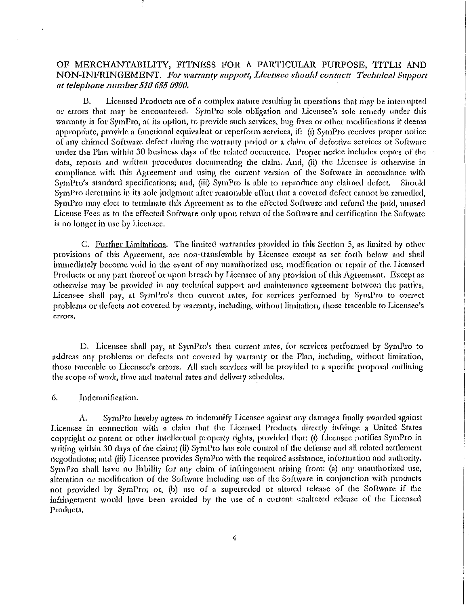# OF MERCHANTABILITY, FITNESS FOR A PARTICULAR PURPOSE, TITLE AND NON-INFRINGEMENT. For warranty support, Licensee should contact: Technical Support *ut telephone number 510 6.05 0900.*

B. Licensed Products are of a complex nature resulting in operations that may be intermpted or errors that may be encountered. SymPto sole obligation and Licensee's sole remedy under this warranty is for SymPro, at its option, to provide such services, bug fixes or other modifications it deems appropriate, provide a functional equivalent or reperform services, if: (i) SymPro receives proper notice of any claimed Software defect during the warranty period or a claim of defective services or Software under the Plan within 30 business days of the related occurrence. Proper notice includes copies of the data, reports and written procedures documenting the claim. And, (ii) the Licensee is otherwise in compliance with this Agreement and using the current version of the Software in accordance with SymPro's standard specifications; and, (iii) SymPro is able to reproduce any claimed defect. Should SymPro determine in its sole judgment after reasonable effort that a covered defect cannot be remedied, SymPro may elect to terminate this Agreement as to the effected Software and refund the paid, unused License Fees as to the effected Software only upon retum of the Software and certification the Software is no longer in usc by Licensee.

C. Further Limitations. The limited warranties provided in this Section 5, as limited by other provisions of this Agreement, nrc non-transferable by Licensee except ns set forth below and shall immediately become void in the event of any unauthorized use, modification or repair of the Licensed Products or any part thereof or upon breach by Licensee of any provision of this Agreement. Except as otherwise may be provided in any technical support and maintenance agreement between the parties, Licensee shall pay, at SymPro's then current rates, for services performed by SymPro to correct problems or defects not covered by warranty, including, without limitation, those traceable to Licensee's **errors,** 

D. Licensee shall pay, at SymPro's then current rates, for services performed by SymPro to address any problems or defects not covered by warranty or the Plan, including, without limitation, those traceable to Licensee's errors. All such services will be provided to a specific proposal outlining the scope of work, time and material rntcs and delivery schedules.

#### 6. Indemnification.

A. SymPro hereby agrees to indemnify Licensee ngoinst any damages finaUy awarded against Licensee in connection with a claim that the Licensed Products directly infringe a United States copyright or patent or other intellectual property rights, provided that: (i) Licensee notifies SymPro in writing within 30 days of the claim; (ii) SymPro has sole control of the defense and all related settlement negotiations; and (iii) Licensee provides SymPro with the required assistance, information and authority. SymPro shall have no liability for any claim of infringement arising from: (a) any unauthorized use, alteration or modification of the Software including use of the Software in conjunction with products not provided by SymPro; or, (b) use of o superseded or altered release of the Software if the infringement would have been avoided by the use of n current unallered release of the Licensed Products.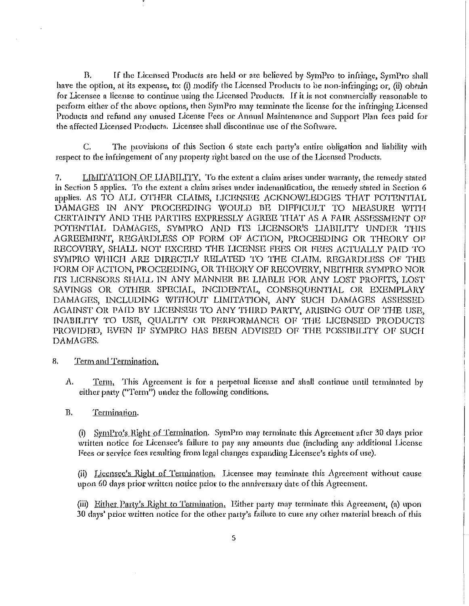B. If the Licensed Products are held or are believed by SymPro to infringe, SymPro shall have the option, at its expense, to: (i) modify the Licensed Products to be non-infringing; or, (ii) obtain for Licensee a license to continue using the Licensed Products. If it is not commercially reasonable to perform either of the above options, then SymPro may terminate the license for the infringing Licensed Products and refund any unused License Fees or Annual Maintenance and Support Plan fees paid for the affected Licensed Products. Licensee shall discontinue use of the Software.

C. The provisions of this Section 6 state each party's entire obligation and liability with respect to the infringement of any property right based on the use of the Licensed Products.

LIMITATION OF LIABILITY. To the extent a claim arises under warranty, the remedy stated 7. in Section 5 applies. To the extent a claim arises under indemnification, the remedy stated in Section 6 applies, AS TO ALL OTHER CLAIMS, LICENSEE ACKNOWLEDGES THAT POTENTIAL DAMAGES IN ANY PROCEEDING WOULD BE DIFFICULT TO MEASURE WITH CERTAINTY AND THE PARTIES EXPRESSLY AGREE THAT AS A FAIR ASSESSMENT OF POTENTIAL DAMAGES, SYMPRO AND ITS LICENSOR'S LIABILITY UNDER THIS AGREEMENT, REGARDLESS OF FORM OF ACTION, PROCEEDING OR THEORY OF RECOVERY, SHALL NOT EXCEED THE LICENSE FEES OR FEES ACTUALLY PAID TO SYMPRO WHICH ARE DIRECTLY RELATED TO THE CLAIM. REGARDLESS OF THE FORM OF ACTION, PROCEEDING, OR THEORY OF RECOVERY, NEITHER SYMPRO NOR ITS LICENSORS SHALL IN ANY MANNER BE LIABLE FOR ANY LOST PROFITS, LOST SAVINGS OR OTHER SPECIAL, INCIDENTAL, CONSEQUENTIAL OR EXEMPLARY DAMAGES, INCLUDING WITHOUT LIMITATION, ANY SUCH DAMAGES ASSESSED AGAINST OR PAID BY LICENSEE TO ANY THIRD PARTY, ARISING OUT OF THE USE, INABILITY TO USE, QUALITY OR PERFORMANCE OF THE LICENSED PRODUCTS PROVIDED, EVEN IF SYMPRO HAS BEEN ADVISED OF THE POSSIBILITY OF SUCH DAMAGES.

- 8. Term and Termination.
	- Λ. Term, This Agreement is for a perpetual license and shall continue until terminated by either party ("Term") under the following conditions.

**B.** Termination.

> (i) SymPro's Right of Termination. SymPro may terminate this Agreement after 30 days prior written notice for Licensee's failure to pay any amounts due (including any additional License Fees or service fees resulting from legal changes expanding Licensee's rights of use).

> (ii) Licensee's Right of Termination. Licensee may terminate this Agreement without cause upon 60 days prior written notice prior to the anniversary date of this Agreement.

> (iii) Either Party's Right to Termination. Either party may terminate this Agreement, (a) upon 30 days' prior written notice for the other party's failure to cure any other material breach of this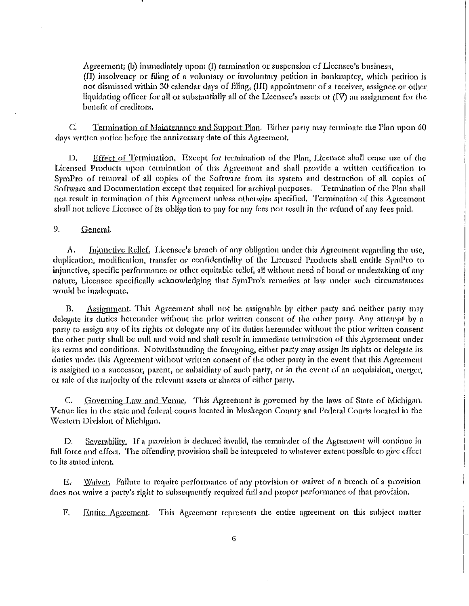$\Lambda$  greement; (b) immediately upon: (I) termination or suspension of Licensee's business, (II) insolvency or filing of a voluntary or involuntary petition in bankruptcy, which petition is not dismissed within 30 calendar days of filing, (III) appointment of a receiver, assignee or other liquidating officer for all or substantially all of the Licensee's assets or (IV) an assignment for the benefit of creditors.

Termination of Maintenance and Support Plan. Either party may terminate the Plan upon 60 C. days written notice before the anniversary date of this Agreement.

Effect of Termination. Except for termination of the Plan, Licensee shall cease use of the D. Licensed Products upon termination of this Agreement and shall provide a written certification to SymPro of removal of all copies of the Software from its system and destruction of all copies of Software and Documentation except that required for archival purposes. Termination of the Plan shall not result in termination of this Agreement unless otherwise specified. Termination of this Agreement shall not relieve Licensee of its obligation to pay for any fees nor result in the refund of any fees paid.

9. General.

A. Injunctive Relief. Licensee's breach of any obligation under this Agreement regarding the use, duplication, modification, transfer or confidentiality of the Licensed Products shall entitle SymPro to injunctive, specific performance or other equitable relief, all without need of bond or undertaking of any nature, Licensee specifically acknowledging that SymPro's remedies at law under such circumstances would be inadequate.

Assignment. This Agreement shall not be assignable by cither party and neither party may **B.** delegate its duties hereunder without the prior written consent of the other party. Any attempt by a party to assign any of its rights or delegate any of its duties hereunder without the prior written consent the other party shall be null and void and shall result in immediate termination of this Agreement under its terms and conditions. Notwithstanding the foregoing, either party may assign its rights or delegate its duties under this Agreement without written consent of the other party in the event that this Agreement is assigned to a successor, parent, or subsidiary of such party, or in the event of an acquisition, merger, or sale of the majority of the relevant assets or shares of either party.

Governing Law and Venue. This Agreement is governed by the laws of State of Michigan. C. Venue lies in the state and federal courts located in Muskegon County and Federal Courts located in the Western Division of Michigan.

 $Scverability$ , If a provision is declared invalid, the remainder of the Agreement will continue in D. full force and effect. The offending provision shall be interpreted to whatever extent possible to give effect to its stated intent.

Waiver. Failure to require performance of any provision or waiver of a breach of a provision Е. does not waive a party's right to subsequently required full and proper performance of that provision.

Entire Agreement. This Agreement represents the entire agreement on this subject matter F.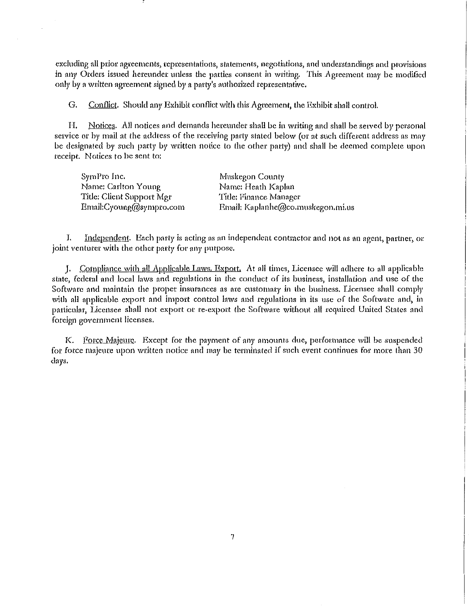excluding all prior agreements, representations, statements, negotiations, and understandings and provisions in any Orders issued hereunder unless the parties consent in writing. This Agreement may be modified only by a written agreement signed by a party's authorized representative.

G. Conflict. Should any Exhibit conflict with this Agreement, the Exhibit shall control.

H. Notices. All notices and demands hereunder shall be in writing and shall be served by personal service or by mail at the address of the receiving party stated below (or at such different address as may be designated by such party by written notice to the other party) and shall be deemed complete upon receipt. Notices to be sent to:

| SymPro Inc.               | Muskegon County                   |
|---------------------------|-----------------------------------|
| Name: Carlton Young       | Name: Heath Kaplan                |
| Title: Client Support Mgr | Title: Finance Manager            |
| Email:Cyoung@sympro.com   | Email: Kaplanhe@co.muskegon.mi.us |

I. Independent. Each party is acting as an independent contractor and not as an agent, partner, or joint venturer with the other party for any purpose.

J. Compliance with all Applicable Laws. Export, At all times, Licensee will adhere to all applicable state, federal and local laws and regulations in the conduct of its business, installation and use of the Software and maintain the proper insurances as are customary in the business. Licensee shall comply with all applicable export and import control laws and regulations in its use of the Software and, in particular, Licensee shall not export or re-cxpott the Software wltlwut all required Urlited States and foreign government licenses.

K. Force Majeure. Except for the payment of any amounts due, performance will be suspended for force majeure upon written notice and may be terminated if such event continues for more than 30 days.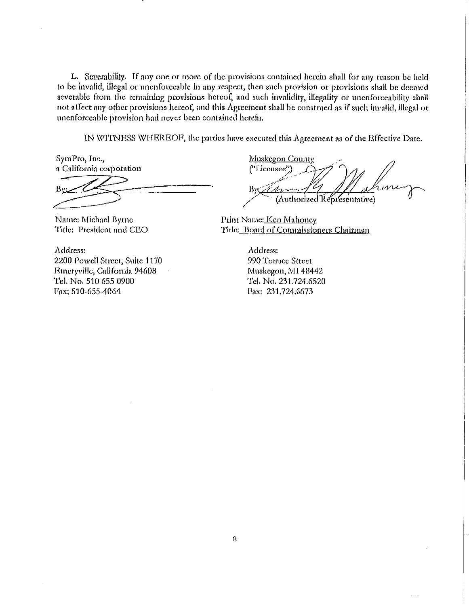L. Severability. If any one or more of the provisions contained herein shall for any reason be held to be invalid, illegal or unenforceable in any respect, then such provision or provisions shall be deemed severable from the remaining provisions hereof, and such invalidity, illegality or unenforceability shall not affect nny other provisions hereof, and this Agreement shall be constmed ns if such invalid, illegal or unenforceable provision had never been contained herein.

IN WITNESS WHEREOF, the parties have executed this Agreement as of the Effective Date.

SymPro, Inc., n California corporation

SymPro, Inc.,<br>
a California corporation<br>
By:<br>
Name: Michael Byrne

Title: President and CEO

Address: 2200 Powell Street, Suite 1170 Emeryville, California 94608 Tel. No, 510 655 0900 Fax: 510-655-4064

Muskcgon County ("Liccn::~';) *\_\_ L);;r* · -· *;J*  By Canufly 1/ phone 7

Print Name: Ken Mahoney Title: Board of Commissioners Chairman

Address: 990 Terrace Street Muskegon, MI 48442 Tel. No. 231.724.6520 Pax: 231.724.6673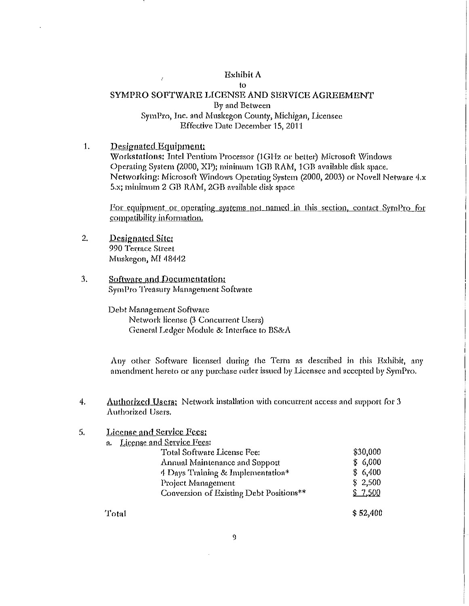## Exhibit A

# $\mathfrak{t}$ SYMPRO SOFTWARE LICENSE AND SERVICE AGREEMENT By and Between SymPro, Inc. and Muskegon County, Michigan, Licensee Effective Date December 15, 2011

 $\mathbf{1}$ . Designated Equipment: Workstations: Intel Pentium Processor (1GHz or better) Microsoft Windows Operating System (2000, XP); minimum 1GB RAM, 1GB available disk space. Networking: Microsoft Windows Operating System (2000, 2003) or Novell Netware 4.x 5.x; minimum 2 GB RAM, 2GB available disk space

For equipment or operating systems not named in this section, contact SymPro for compatibility information.

- $2.$ Designated Site: 990 Terrace Street Muskegon, MI 48442
- $3.$ Software and Documentation: SymPro Treasury Management Software

Ŷ.

Debt Management Software Network license (3 Concurrent Users) General Ledger Module & Interface to BS&A

Any other Software licensed during the Term as described in this Exhibit, any amendment hereto or any purchase order issued by Licensee and accepted by SymPro.

Authorized Users: Network installation with concurrent access and support for 3 4. Authorized Users.

#### License and Service Fees: 5.

| a. | License and Service Fees:               |          |
|----|-----------------------------------------|----------|
|    | Total Software License Fee:             | \$30,000 |
|    | Annual Maintenance and Support          | \$6,000  |
|    | 4 Days Training & Implementation*       | \$6,400  |
|    | Project Management                      | \$2,500  |
|    | Conversion of Existing Debt Positions** | \$7,500  |
|    |                                         |          |

Total

 $$52,400$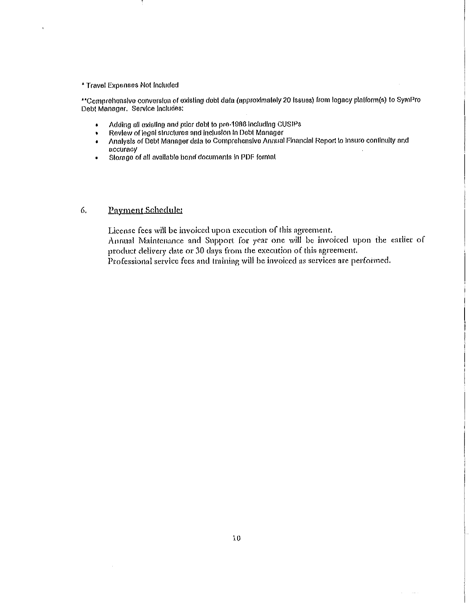#### • Travel Expenses Not Included

 $\ddot{\phantom{0}}$ 

"Comprehensive conversion of exisllng deb! data (approximately 20 Issues) from legacy plalform(s) to SymPro Debt Manager. Service Includes:

- Adding all axis ling and prior debt to pre-1906 Including CUSIPs
- Review of legal structures and inclusion In Pebt Manager
- Analysis of Deb! Manager data to Comprehensive Annual Financial Report to lnsuro conllnulty and accuracy
- Storage of all available bond documents In PDF format

## 6. £ayment Schedule:

License fees will be invoiced upon execution of this agreement.

Annual Maintenance and Support for year one will be invoiced upon the earlier of product delivery date or 30 days from the execution of this agreement.

Professional seevicc fees and training will be invoiced as services are petfonned.